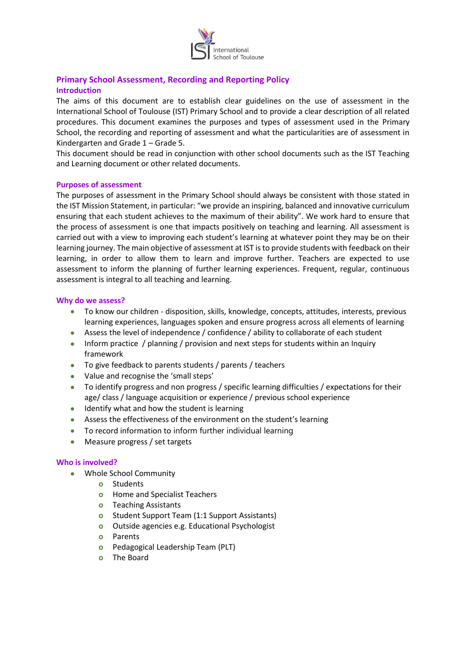

### **Primary School Assessment, Recording and Reporting Policy Introduction**

The aims of this document are to establish clear guidelines on the use of assessment in the International School of Toulouse (IST) Primary School and to provide a clear description of all related procedures. This document examines the purposes and types of assessment used in the Primary School, the recording and reporting of assessment and what the particularities are of assessment in Kindergarten and Grade 1 – Grade 5.

This document should be read in conjunction with other school documents such as the IST Teaching and Learning document or other related documents.

#### **Purposes of assessment**

The purposes of assessment in the Primary School should always be consistent with those stated in the IST Mission Statement, in particular: "we provide an inspiring, balanced and innovative curriculum ensuring that each student achieves to the maximum of their ability". We work hard to ensure that the process of assessment is one that impacts positively on teaching and learning. All assessment is carried out with a view to improving each student's learning at whatever point they may be on their learning journey. The main objective of assessment at IST is to provide students with feedback on their learning, in order to allow them to learn and improve further. Teachers are expected to use assessment to inform the planning of further learning experiences. Frequent, regular, continuous assessment is integral to all teaching and learning.

#### **Why do we assess?**

- To know our children disposition, skills, knowledge, concepts, attitudes, interests, previous learning experiences, languages spoken and ensure progress across all elements of learning
- Assess the level of independence / confidence / ability to collaborate of each student
- Inform practice / planning / provision and next steps for students within an Inquiry framework
- To give feedback to parents students / parents / teachers
- Value and recognise the 'small steps'
- To identify progress and non progress / specific learning difficulties / expectations for their age/ class / language acquisition or experience / previous school experience
- **IDENTIFY** what and how the student is learning
- Assess the effectiveness of the environment on the student's learning
- To record information to inform further individual learning
- Measure progress / set targets

#### **Who is involved?**

- Whole School Community
	- **o** Students
	- **o** Home and Specialist Teachers
	- **o** Teaching Assistants
	- **o** Student Support Team (1:1 Support Assistants)
	- **o** Outside agencies e.g. Educational Psychologist
	- **o** Parents
	- **o** Pedagogical Leadership Team (PLT)
	- **o** The Board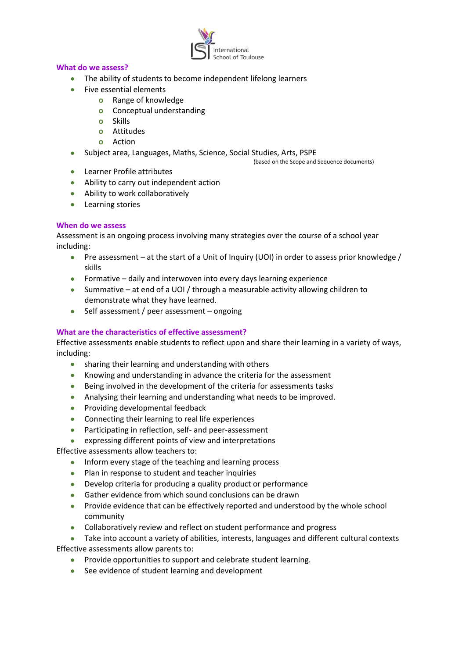

#### **What do we assess?**

- The ability of students to become independent lifelong learners
- Five essential elements
	- **o** Range of knowledge
	- **o** Conceptual understanding
	- **o** Skills
	- **o** Attitudes
	- **o** Action
- Subject area, Languages, Maths, Science, Social Studies, Arts, PSPE

(based on the Scope and Sequence documents)

- Learner Profile attributes
- Ability to carry out independent action
- Ability to work collaboratively
- **•** Learning stories

#### **When do we assess**

Assessment is an ongoing process involving many strategies over the course of a school year including:

- **Pre assessment at the start of a Unit of Inquiry (UOI) in order to assess prior knowledge /** skills
- Formative daily and interwoven into every days learning experience
- Summative at end of a UOI / through a measurable activity allowing children to demonstrate what they have learned.
- $\bullet$  Self assessment / peer assessment ongoing

### **What are the characteristics of effective assessment?**

Effective assessments enable students to reflect upon and share their learning in a variety of ways, including:

- sharing their learning and understanding with others
- Knowing and understanding in advance the criteria for the assessment
- Being involved in the development of the criteria for assessments tasks
- Analysing their learning and understanding what needs to be improved.
- Providing developmental feedback
- Connecting their learning to real life experiences
- Participating in reflection, self- and peer-assessment
- expressing different points of view and interpretations

Effective assessments allow teachers to:

- Inform every stage of the teaching and learning process
- Plan in response to student and teacher inquiries
- Develop criteria for producing a quality product or performance
- Gather evidence from which sound conclusions can be drawn
- **•** Provide evidence that can be effectively reported and understood by the whole school community
- Collaboratively review and reflect on student performance and progress
- Take into account a variety of abilities, interests, languages and different cultural contexts Effective assessments allow parents to:
	- Provide opportunities to support and celebrate student learning.
	- See evidence of student learning and development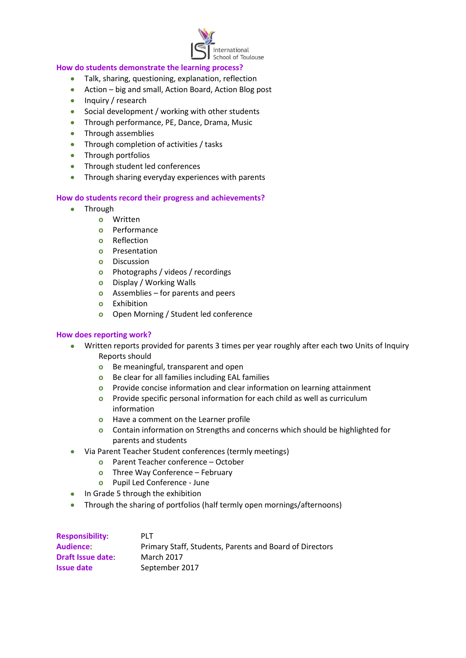

#### **How do students demonstrate the learning process?**

- Talk, sharing, questioning, explanation, reflection
- Action big and small, Action Board, Action Blog post
- Inquiry / research
- Social development / working with other students
- Through performance, PE, Dance, Drama, Music
- Through assemblies
- Through completion of activities / tasks
- Through portfolios
- Through student led conferences
- Through sharing everyday experiences with parents

#### **How do students record their progress and achievements?**

- Through
	- **o** Written
	- **o** Performance
	- **o** Reflection
	- **o** Presentation
	- **o** Discussion
	- **o** Photographs / videos / recordings
	- **o** Display / Working Walls
	- **o** Assemblies for parents and peers
	- **o** Exhibition
	- **o** Open Morning / Student led conference

#### **How does reporting work?**

- Written reports provided for parents 3 times per year roughly after each two Units of Inquiry Reports should
	- **o** Be meaningful, transparent and open
	- **o** Be clear for all families including EAL families
	- **o** Provide concise information and clear information on learning attainment
	- **o** Provide specific personal information for each child as well as curriculum information
	- **o** Have a comment on the Learner profile
	- **o** Contain information on Strengths and concerns which should be highlighted for parents and students
- Via Parent Teacher Student conferences (termly meetings)
	- **o** Parent Teacher conference October
	- **o** Three Way Conference February
	- **o** Pupil Led Conference June
- $\bullet$  In Grade 5 through the exhibition
- Through the sharing of portfolios (half termly open mornings/afternoons)

| <b>Responsibility</b>   | PLT.                                                    |
|-------------------------|---------------------------------------------------------|
| <b>Audience:</b>        | Primary Staff, Students, Parents and Board of Directors |
| <b>Draft Issue date</b> | <b>March 2017</b>                                       |
| <b>Issue date</b>       | September 2017                                          |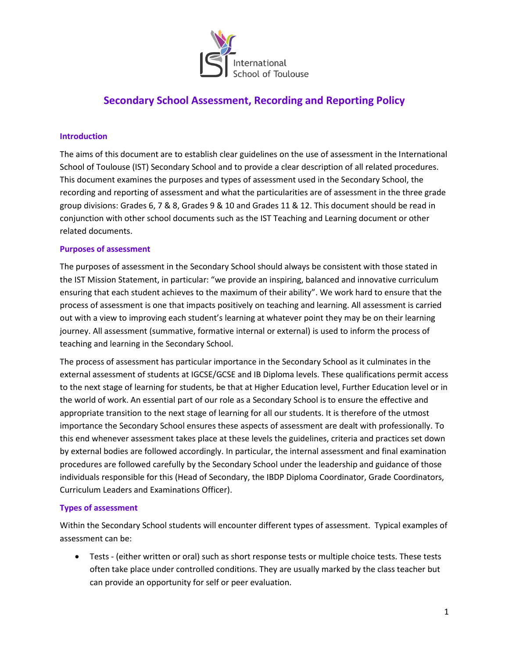

#### **Introduction**

The aims of this document are to establish clear guidelines on the use of assessment in the International School of Toulouse (IST) Secondary School and to provide a clear description of all related procedures. This document examines the purposes and types of assessment used in the Secondary School, the recording and reporting of assessment and what the particularities are of assessment in the three grade group divisions: Grades 6, 7 & 8, Grades 9 & 10 and Grades 11 & 12. This document should be read in conjunction with other school documents such as the IST Teaching and Learning document or other related documents.

#### **Purposes of assessment**

The purposes of assessment in the Secondary School should always be consistent with those stated in the IST Mission Statement, in particular: "we provide an inspiring, balanced and innovative curriculum ensuring that each student achieves to the maximum of their ability". We work hard to ensure that the process of assessment is one that impacts positively on teaching and learning. All assessment is carried out with a view to improving each student's learning at whatever point they may be on their learning journey. All assessment (summative, formative internal or external) is used to inform the process of teaching and learning in the Secondary School.

The process of assessment has particular importance in the Secondary School as it culminates in the external assessment of students at IGCSE/GCSE and IB Diploma levels. These qualifications permit access to the next stage of learning for students, be that at Higher Education level, Further Education level or in the world of work. An essential part of our role as a Secondary School is to ensure the effective and appropriate transition to the next stage of learning for all our students. It is therefore of the utmost importance the Secondary School ensures these aspects of assessment are dealt with professionally. To this end whenever assessment takes place at these levels the guidelines, criteria and practices set down by external bodies are followed accordingly. In particular, the internal assessment and final examination procedures are followed carefully by the Secondary School under the leadership and guidance of those individuals responsible for this (Head of Secondary, the IBDP Diploma Coordinator, Grade Coordinators, Curriculum Leaders and Examinations Officer).

#### **Types of assessment**

Within the Secondary School students will encounter different types of assessment. Typical examples of assessment can be:

 Tests - (either written or oral) such as short response tests or multiple choice tests. These tests often take place under controlled conditions. They are usually marked by the class teacher but can provide an opportunity for self or peer evaluation.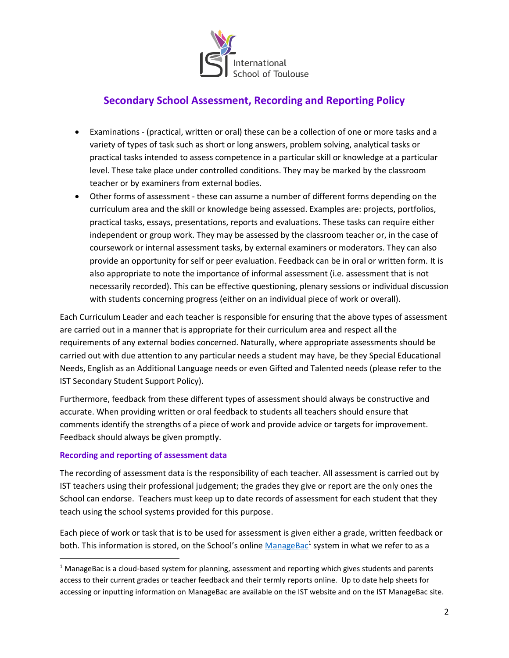

- Examinations (practical, written or oral) these can be a collection of one or more tasks and a variety of types of task such as short or long answers, problem solving, analytical tasks or practical tasks intended to assess competence in a particular skill or knowledge at a particular level. These take place under controlled conditions. They may be marked by the classroom teacher or by examiners from external bodies.
- Other forms of assessment these can assume a number of different forms depending on the curriculum area and the skill or knowledge being assessed. Examples are: projects, portfolios, practical tasks, essays, presentations, reports and evaluations. These tasks can require either independent or group work. They may be assessed by the classroom teacher or, in the case of coursework or internal assessment tasks, by external examiners or moderators. They can also provide an opportunity for self or peer evaluation. Feedback can be in oral or written form. It is also appropriate to note the importance of informal assessment (i.e. assessment that is not necessarily recorded). This can be effective questioning, plenary sessions or individual discussion with students concerning progress (either on an individual piece of work or overall).

Each Curriculum Leader and each teacher is responsible for ensuring that the above types of assessment are carried out in a manner that is appropriate for their curriculum area and respect all the requirements of any external bodies concerned. Naturally, where appropriate assessments should be carried out with due attention to any particular needs a student may have, be they Special Educational Needs, English as an Additional Language needs or even Gifted and Talented needs (please refer to the IST Secondary Student Support Policy).

Furthermore, feedback from these different types of assessment should always be constructive and accurate. When providing written or oral feedback to students all teachers should ensure that comments identify the strengths of a piece of work and provide advice or targets for improvement. Feedback should always be given promptly.

#### **Recording and reporting of assessment data**

 $\overline{\phantom{a}}$ 

The recording of assessment data is the responsibility of each teacher. All assessment is carried out by IST teachers using their professional judgement; the grades they give or report are the only ones the School can endorse. Teachers must keep up to date records of assessment for each student that they teach using the school systems provided for this purpose.

Each piece of work or task that is to be used for assessment is given either a grade, written feedback or both. This information is stored, on the School's online **[ManageBac](https://intst.managebac.com/login)<sup>1</sup> system in what we refer to as a** 

 $1$  ManageBac is a cloud-based system for planning, assessment and reporting which gives students and parents access to their current grades or teacher feedback and their termly reports online. Up to date help sheets for accessing or inputting information on ManageBac are available on the IST website and on the IST ManageBac site.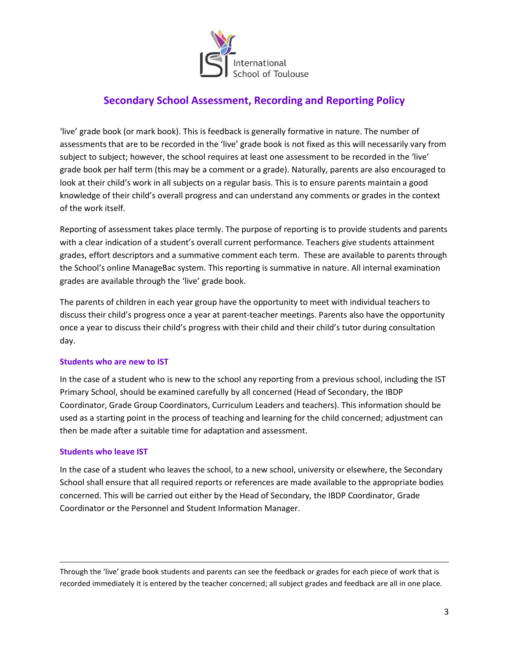

'live' grade book (or mark book). This is feedback is generally formative in nature. The number of assessments that are to be recorded in the 'live' grade book is not fixed as this will necessarily vary from subject to subject; however, the school requires at least one assessment to be recorded in the 'live' grade book per half term (this may be a comment or a grade). Naturally, parents are also encouraged to look at their child's work in all subjects on a regular basis. This is to ensure parents maintain a good knowledge of their child's overall progress and can understand any comments or grades in the context of the work itself.

Reporting of assessment takes place termly. The purpose of reporting is to provide students and parents with a clear indication of a student's overall current performance. Teachers give students attainment grades, effort descriptors and a summative comment each term. These are available to parents through the School's online ManageBac system. This reporting is summative in nature. All internal examination grades are available through the 'live' grade book.

The parents of children in each year group have the opportunity to meet with individual teachers to discuss their child's progress once a year at parent-teacher meetings. Parents also have the opportunity once a year to discuss their child's progress with their child and their child's tutor during consultation day.

#### **Students who are new to IST**

In the case of a student who is new to the school any reporting from a previous school, including the IST Primary School, should be examined carefully by all concerned (Head of Secondary, the IBDP Coordinator, Grade Group Coordinators, Curriculum Leaders and teachers). This information should be used as a starting point in the process of teaching and learning for the child concerned; adjustment can then be made after a suitable time for adaptation and assessment.

#### **Students who leave IST**

 $\overline{\phantom{a}}$ 

In the case of a student who leaves the school, to a new school, university or elsewhere, the Secondary School shall ensure that all required reports or references are made available to the appropriate bodies concerned. This will be carried out either by the Head of Secondary, the IBDP Coordinator, Grade Coordinator or the Personnel and Student Information Manager.

Through the 'live' grade book students and parents can see the feedback or grades for each piece of work that is recorded immediately it is entered by the teacher concerned; all subject grades and feedback are all in one place.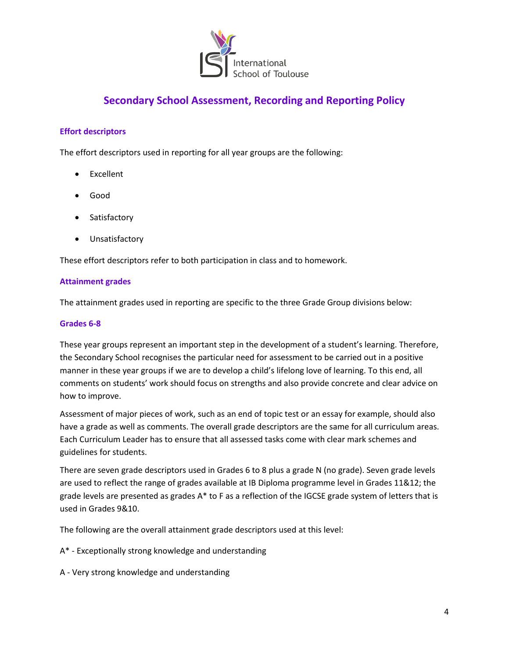

### **Effort descriptors**

The effort descriptors used in reporting for all year groups are the following:

- Excellent
- Good
- Satisfactory
- Unsatisfactory

These effort descriptors refer to both participation in class and to homework.

#### **Attainment grades**

The attainment grades used in reporting are specific to the three Grade Group divisions below:

#### **Grades 6-8**

These year groups represent an important step in the development of a student's learning. Therefore, the Secondary School recognises the particular need for assessment to be carried out in a positive manner in these year groups if we are to develop a child's lifelong love of learning. To this end, all comments on students' work should focus on strengths and also provide concrete and clear advice on how to improve.

Assessment of major pieces of work, such as an end of topic test or an essay for example, should also have a grade as well as comments. The overall grade descriptors are the same for all curriculum areas. Each Curriculum Leader has to ensure that all assessed tasks come with clear mark schemes and guidelines for students.

There are seven grade descriptors used in Grades 6 to 8 plus a grade N (no grade). Seven grade levels are used to reflect the range of grades available at IB Diploma programme level in Grades 11&12; the grade levels are presented as grades A\* to F as a reflection of the IGCSE grade system of letters that is used in Grades 9&10.

The following are the overall attainment grade descriptors used at this level:

A\* - Exceptionally strong knowledge and understanding

A - Very strong knowledge and understanding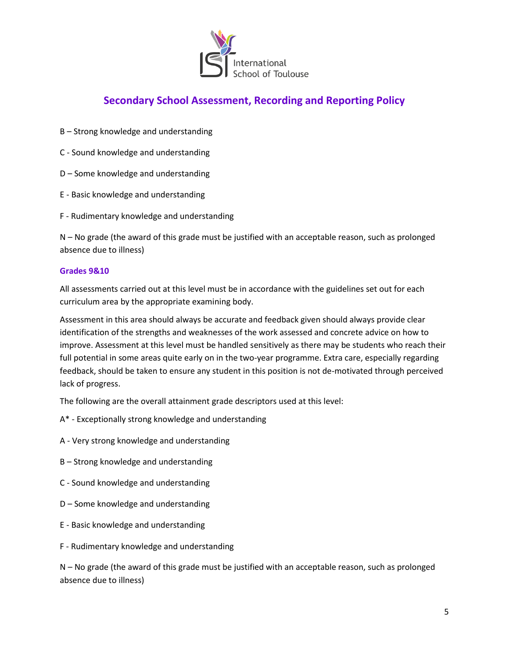

- B Strong knowledge and understanding
- C Sound knowledge and understanding
- D Some knowledge and understanding
- E Basic knowledge and understanding
- F Rudimentary knowledge and understanding

N – No grade (the award of this grade must be justified with an acceptable reason, such as prolonged absence due to illness)

#### **Grades 9&10**

All assessments carried out at this level must be in accordance with the guidelines set out for each curriculum area by the appropriate examining body.

Assessment in this area should always be accurate and feedback given should always provide clear identification of the strengths and weaknesses of the work assessed and concrete advice on how to improve. Assessment at this level must be handled sensitively as there may be students who reach their full potential in some areas quite early on in the two-year programme. Extra care, especially regarding feedback, should be taken to ensure any student in this position is not de-motivated through perceived lack of progress.

The following are the overall attainment grade descriptors used at this level:

- A\* Exceptionally strong knowledge and understanding
- A Very strong knowledge and understanding
- B Strong knowledge and understanding
- C Sound knowledge and understanding
- D Some knowledge and understanding
- E Basic knowledge and understanding
- F Rudimentary knowledge and understanding

N – No grade (the award of this grade must be justified with an acceptable reason, such as prolonged absence due to illness)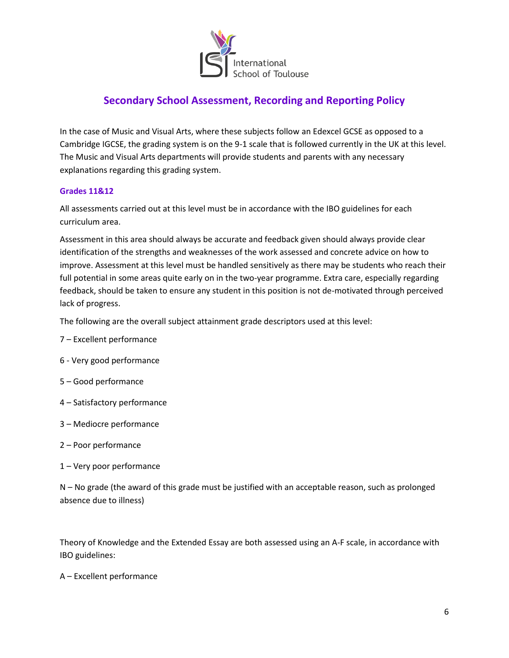

In the case of Music and Visual Arts, where these subjects follow an Edexcel GCSE as opposed to a Cambridge IGCSE, the grading system is on the 9-1 scale that is followed currently in the UK at this level. The Music and Visual Arts departments will provide students and parents with any necessary explanations regarding this grading system.

### **Grades 11&12**

All assessments carried out at this level must be in accordance with the IBO guidelines for each curriculum area.

Assessment in this area should always be accurate and feedback given should always provide clear identification of the strengths and weaknesses of the work assessed and concrete advice on how to improve. Assessment at this level must be handled sensitively as there may be students who reach their full potential in some areas quite early on in the two-year programme. Extra care, especially regarding feedback, should be taken to ensure any student in this position is not de-motivated through perceived lack of progress.

The following are the overall subject attainment grade descriptors used at this level:

- 7 Excellent performance
- 6 Very good performance
- 5 Good performance
- 4 Satisfactory performance
- 3 Mediocre performance
- 2 Poor performance
- 1 Very poor performance

N – No grade (the award of this grade must be justified with an acceptable reason, such as prolonged absence due to illness)

Theory of Knowledge and the Extended Essay are both assessed using an A-F scale, in accordance with IBO guidelines:

A – Excellent performance